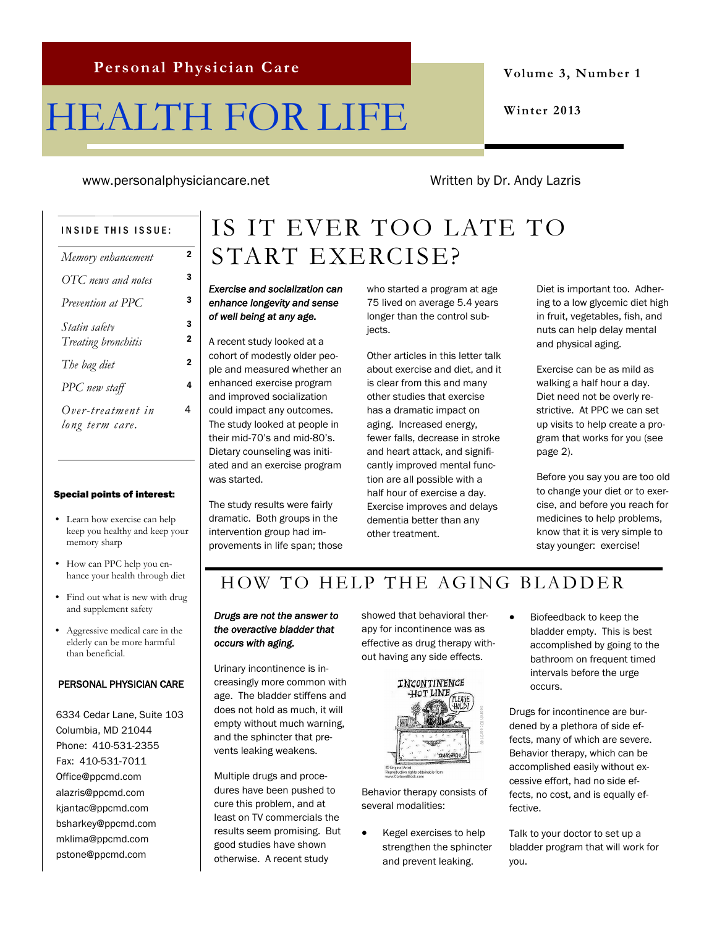# HEALTH FOR LIFE

**Volume 3, Number 1**

**Winter 2013**

www.personalphysiciancare.net Written by Dr. Andy Lazris

4

#### INSIDE THIS ISSUE:

| Memory enhancement  | 2              |
|---------------------|----------------|
| OTC news and notes  | з              |
| Prevention at PPC   | 3              |
| Statin safety       | 3              |
| Treating bronchitis | 2              |
| The bag diet        | $\overline{2}$ |
| PPC new staff       | 4              |
| Over-treatment in   | 4              |
| long term care.     |                |

#### Special points of interest:

- Learn how exercise can help keep you healthy and keep your memory sharp
- How can PPC help you enhance your health through diet
- Find out what is new with drug and supplement safety
- Aggressive medical care in the elderly can be more harmful than beneficial.

#### PERSONAL PHYSICIAN CARE

6334 Cedar Lane, Suite 103 Columbia, MD 21044 Phone: 410-531-2355 Fax: 410-531-7011 Office@ppcmd.com alazris@ppcmd.com kjantac@ppcmd.com bsharkey@ppcmd.com mklima@ppcmd.com pstone@ppcmd.com

# IS IT EVER TOO LATE TO START EXERCISE?

#### *Exercise and socialization can enhance longevity and sense of well being at any age.*

A recent study looked at a cohort of modestly older people and measured whether an enhanced exercise program and improved socialization could impact any outcomes. The study looked at people in their mid-70's and mid-80's. Dietary counseling was initiated and an exercise program was started.

The study results were fairly dramatic. Both groups in the intervention group had improvements in life span; those who started a program at age 75 lived on average 5.4 years longer than the control subjects.

Other articles in this letter talk about exercise and diet, and it is clear from this and many other studies that exercise has a dramatic impact on aging. Increased energy, fewer falls, decrease in stroke and heart attack, and significantly improved mental function are all possible with a half hour of exercise a day. Exercise improves and delays dementia better than any other treatment.

Diet is important too. Adhering to a low glycemic diet high in fruit, vegetables, fish, and nuts can help delay mental and physical aging.

Exercise can be as mild as walking a half hour a day. Diet need not be overly restrictive. At PPC we can set up visits to help create a program that works for you (see page 2).

Before you say you are too old to change your diet or to exercise, and before you reach for medicines to help problems, know that it is very simple to stay younger: exercise!

### HOW TO HELP THE AGING BLADDER

#### *Drugs are not the answer to the overactive bladder that occurs with aging.*

Urinary incontinence is increasingly more common with age. The bladder stiffens and does not hold as much, it will empty without much warning, and the sphincter that prevents leaking weakens.

Multiple drugs and procedures have been pushed to cure this problem, and at least on TV commercials the results seem promising. But good studies have shown otherwise. A recent study

showed that behavioral therapy for incontinence was as effective as drug therapy without having any side effects.



Behavior therapy consists of several modalities:

 Kegel exercises to help strengthen the sphincter and prevent leaking.

 Biofeedback to keep the bladder empty. This is best accomplished by going to the bathroom on frequent timed intervals before the urge occurs.

Drugs for incontinence are burdened by a plethora of side effects, many of which are severe. Behavior therapy, which can be accomplished easily without excessive effort, had no side effects, no cost, and is equally effective.

Talk to your doctor to set up a bladder program that will work for you.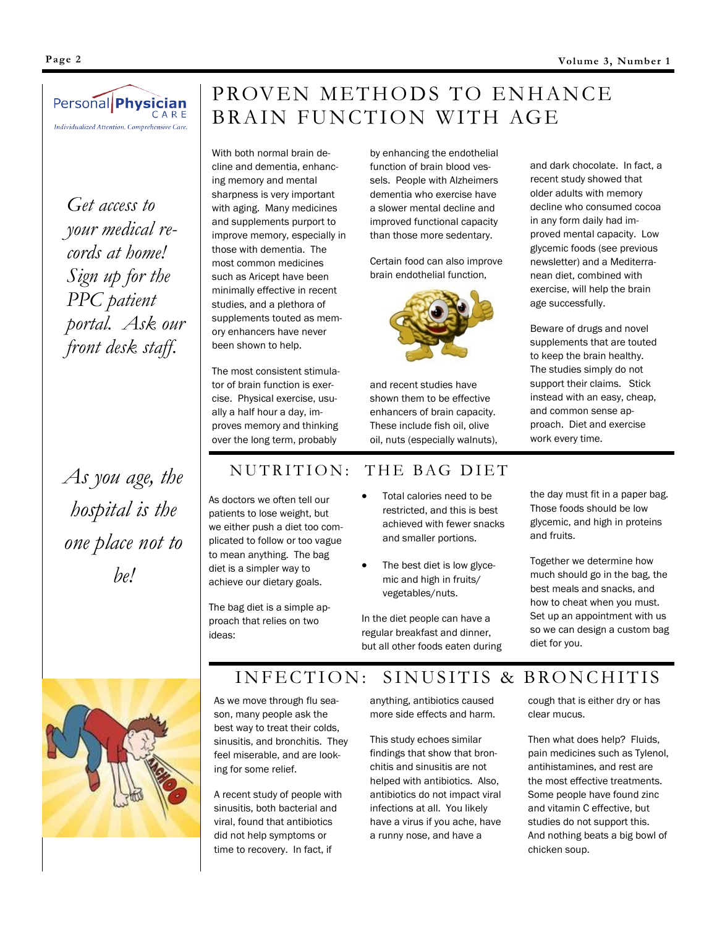

*Get access to your medical records at home! Sign up for the PPC patient portal. Ask our front desk staff.*

*As you age, the hospital is the one place not to be!*

## PROVEN METHODS TO ENHANCE BRAIN FUNCTION WITH AGE

With both normal brain decline and dementia, enhancing memory and mental sharpness is very important with aging. Many medicines and supplements purport to improve memory, especially in those with dementia. The most common medicines such as Aricept have been minimally effective in recent studies, and a plethora of supplements touted as memory enhancers have never been shown to help.

The most consistent stimulator of brain function is exercise. Physical exercise, usually a half hour a day, improves memory and thinking over the long term, probably

function of brain blood vessels. People with Alzheimers dementia who exercise have a slower mental decline and improved functional capacity than those more sedentary.

by enhancing the endothelial

Certain food can also improve brain endothelial function,



and recent studies have shown them to be effective enhancers of brain capacity. These include fish oil, olive oil, nuts (especially walnuts),

### NUTRITION: THE BAG DIET

As doctors we often tell our patients to lose weight, but we either push a diet too complicated to follow or too vague to mean anything. The bag diet is a simpler way to achieve our dietary goals.

The bag diet is a simple approach that relies on two ideas:

- Total calories need to be restricted, and this is best achieved with fewer snacks and smaller portions.
- The best diet is low glycemic and high in fruits/ vegetables/nuts.

In the diet people can have a regular breakfast and dinner, but all other foods eaten during

and dark chocolate. In fact, a recent study showed that older adults with memory decline who consumed cocoa in any form daily had improved mental capacity. Low glycemic foods (see previous newsletter) and a Mediterranean diet, combined with exercise, will help the brain age successfully.

Beware of drugs and novel supplements that are touted to keep the brain healthy. The studies simply do not support their claims. Stick instead with an easy, cheap, and common sense approach. Diet and exercise work every time.

the day must fit in a paper bag. Those foods should be low glycemic, and high in proteins and fruits.

Together we determine how much should go in the bag, the best meals and snacks, and how to cheat when you must. Set up an appointment with us so we can design a custom bag diet for you.



As we move through flu season, many people ask the best way to treat their colds, sinusitis, and bronchitis. They feel miserable, and are looking for some relief.

A recent study of people with sinusitis, both bacterial and viral, found that antibiotics did not help symptoms or time to recovery. In fact, if

anything, antibiotics caused more side effects and harm.

INFECTION: SINUSITIS & BRONCHITIS

This study echoes similar findings that show that bronchitis and sinusitis are not helped with antibiotics. Also, antibiotics do not impact viral infections at all. You likely have a virus if you ache, have a runny nose, and have a

cough that is either dry or has clear mucus.

Then what does help? Fluids, pain medicines such as Tylenol, antihistamines, and rest are the most effective treatments. Some people have found zinc and vitamin C effective, but studies do not support this. And nothing beats a big bowl of chicken soup.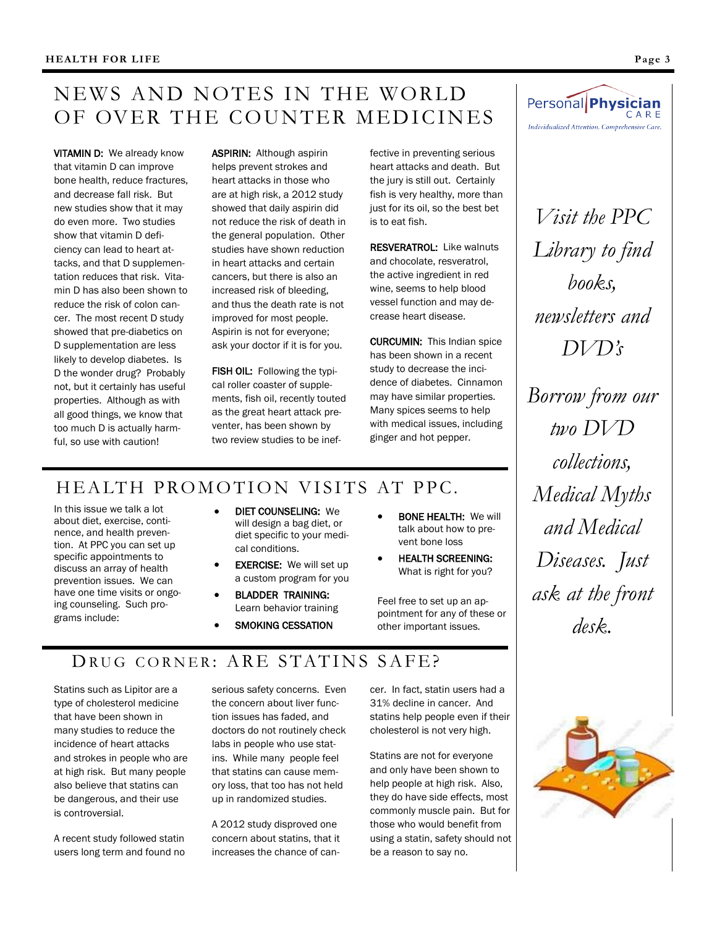### NEWS AND NOTES IN THE WORLD OF OVER THE COUNTER MEDICINES

VITAMIN D: We already know that vitamin D can improve bone health, reduce fractures, and decrease fall risk. But new studies show that it may do even more. Two studies show that vitamin D deficiency can lead to heart attacks, and that D supplementation reduces that risk. Vitamin D has also been shown to reduce the risk of colon cancer. The most recent D study showed that pre-diabetics on D supplementation are less likely to develop diabetes. Is D the wonder drug? Probably not, but it certainly has useful properties. Although as with all good things, we know that too much D is actually harmful, so use with caution!

ASPIRIN: Although aspirin helps prevent strokes and heart attacks in those who are at high risk, a 2012 study showed that daily aspirin did not reduce the risk of death in the general population. Other studies have shown reduction in heart attacks and certain cancers, but there is also an increased risk of bleeding, and thus the death rate is not improved for most people. Aspirin is not for everyone; ask your doctor if it is for you.

FISH OIL: Following the typical roller coaster of supplements, fish oil, recently touted as the great heart attack preventer, has been shown by two review studies to be inef-

fective in preventing serious heart attacks and death. But the jury is still out. Certainly fish is very healthy, more than just for its oil, so the best bet is to eat fish.

RESVERATROL: Like walnuts and chocolate, resveratrol, the active ingredient in red wine, seems to help blood vessel function and may decrease heart disease.

CURCUMIN: This Indian spice has been shown in a recent study to decrease the incidence of diabetes. Cinnamon may have similar properties. Many spices seems to help with medical issues, including ginger and hot pepper.

### HEALTH PROMOTION VISITS AT PPC.

In this issue we talk a lot about diet, exercise, continence, and health prevention. At PPC you can set up specific appointments to discuss an array of health prevention issues. We can have one time visits or ongoing counseling. Such programs include:

- DIET COUNSELING: We will design a bag diet, or diet specific to your medical conditions.
- EXERCISE: We will set up a custom program for you
- BLADDER TRAINING: Learn behavior training
- SMOKING CESSATION
- BONE HEALTH: We will talk about how to prevent bone loss
- HEALTH SCREENING: What is right for you?

Feel free to set up an appointment for any of these or other important issues.

#### Personal Physician CARE Individualized Attention. Comprehensive Care.

*Visit the PPC Library to find books, newsletters and DVD's Borrow from our two DVD collections, Medical Myths and Medical Diseases. Just ask at the front* 

*desk.*

### DRUG CORNER: ARE STATINS SAFE?

Statins such as Lipitor are a type of cholesterol medicine that have been shown in many studies to reduce the incidence of heart attacks and strokes in people who are at high risk. But many people also believe that statins can be dangerous, and their use is controversial.

A recent study followed statin users long term and found no serious safety concerns. Even the concern about liver function issues has faded, and doctors do not routinely check labs in people who use statins. While many people feel that statins can cause memory loss, that too has not held up in randomized studies.

A 2012 study disproved one concern about statins, that it increases the chance of cancer. In fact, statin users had a 31% decline in cancer. And statins help people even if their cholesterol is not very high.

Statins are not for everyone and only have been shown to help people at high risk. Also, they do have side effects, most commonly muscle pain. But for those who would benefit from using a statin, safety should not be a reason to say no.